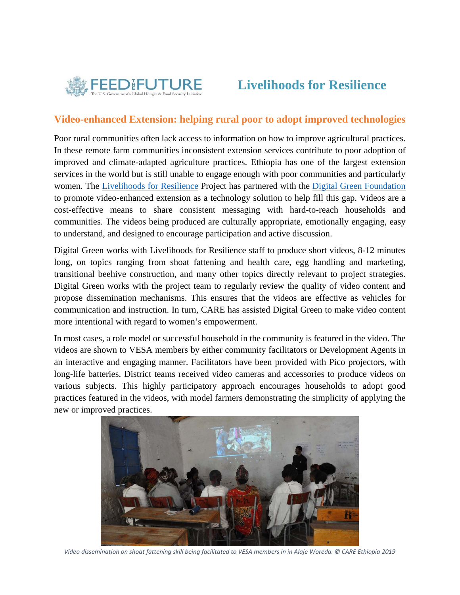

## **Livelihoods for Resilience**

## **Video-enhanced Extension: helping rural poor to adopt improved technologies**

Poor rural communities often lack access to information on how to improve agricultural practices. In these remote farm communities inconsistent extension services contribute to poor adoption of improved and climate-adapted agriculture practices. Ethiopia has one of the largest extension services in the world but is still unable to engage enough with poor communities and particularly women. The Livelihoods for Resilience Project has partnered with the Digital Green Foundation to promote video-enhanced extension as a technology solution to help fill this gap. Videos are a cost-effective means to share consistent messaging with hard-to-reach households and communities. The videos being produced are culturally appropriate, emotionally engaging, easy to understand, and designed to encourage participation and active discussion.

Digital Green works with Livelihoods for Resilience staff to produce short videos, 8-12 minutes long, on topics ranging from shoat fattening and health care, egg handling and marketing, transitional beehive construction, and many other topics directly relevant to project strategies. Digital Green works with the project team to regularly review the quality of video content and propose dissemination mechanisms. This ensures that the videos are effective as vehicles for communication and instruction. In turn, CARE has assisted Digital Green to make video content more intentional with regard to women's empowerment.

In most cases, a role model or successful household in the community is featured in the video. The videos are shown to VESA members by either community facilitators or Development Agents in an interactive and engaging manner. Facilitators have been provided with Pico projectors, with long-life batteries. District teams received video cameras and accessories to produce videos on various subjects. This highly participatory approach encourages households to adopt good practices featured in the videos, with model farmers demonstrating the simplicity of applying the new or improved practices.



Video dissemination on shoat fattening skill being facilitated to VESA members in in Alaje Woreda. © CARE Ethiopia 2019